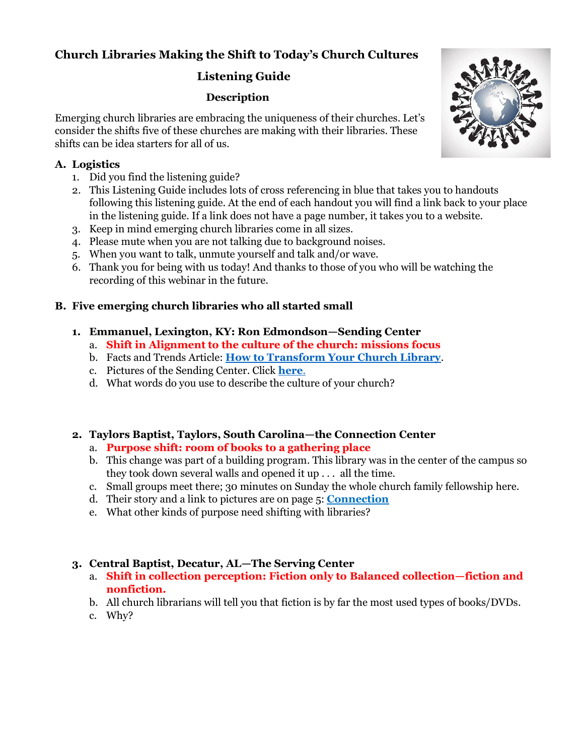# **Church Libraries Making the Shift to Today's Church Cultures**

# **Listening Guide**

# **Description**

Emerging church libraries are embracing the uniqueness of their churches. Let's consider the shifts five of these churches are making with their libraries. These shifts can be idea starters for all of us.

## **A. Logistics**

- 1. Did you find the listening guide?
- 2. This Listening Guide includes lots of cross referencing in blue that takes you to handouts following this listening guide. At the end of each handout you will find a link back to your place in the listening guide. If a link does not have a page number, it takes you to a website.
- 3. Keep in mind emerging church libraries come in all sizes.
- 4. Please mute when you are not talking due to background noises.
- 5. When you want to talk, unmute yourself and talk and/or wave.
- 6. Thank you for being with us today! And thanks to those of you who will be watching the recording of this webinar in the future.

## **B. Five emerging church libraries who all started small**

## **1. Emmanuel, Lexington, KY: Ron Edmondson—Sending Center**

## a. **Shift in Alignment to the culture of the church: missions focus**

- b. Facts and Trends Article: **[How to Transform Your Church Library](https://factsandtrends.net/2017/11/03/how-to-transform-your-church-library/)**.
- c. Pictures of the Sending Center. Click **[here](https://churchlibrarians.ning.com/photo?tz=&q=Sending+Center)**.
- d. What words do you use to describe the culture of your church?

# <span id="page-0-0"></span>**2. Taylors Baptist, Taylors, South Carolina—the Connection Center**

- a. **Purpose shift: room of books to a gathering place**
- b. This change was part of a building program. This library was in the center of the campus so they took down several walls and opened it up . . . all the time.
- c. Small groups meet there; 30 minutes on Sunday the whole church family fellowship here.
- d. Their story and a link to pictures are on page 5: **[Connection](#page-4-0)**
- e. What other kinds of purpose need shifting with libraries?

# <span id="page-0-1"></span>**3. Central Baptist, Decatur, AL—The Serving Center**

- a. **Shift in collection perception: Fiction only to Balanced collection—fiction and nonfiction.**
- b. All church librarians will tell you that fiction is by far the most used types of books/DVDs.
- c. Why?

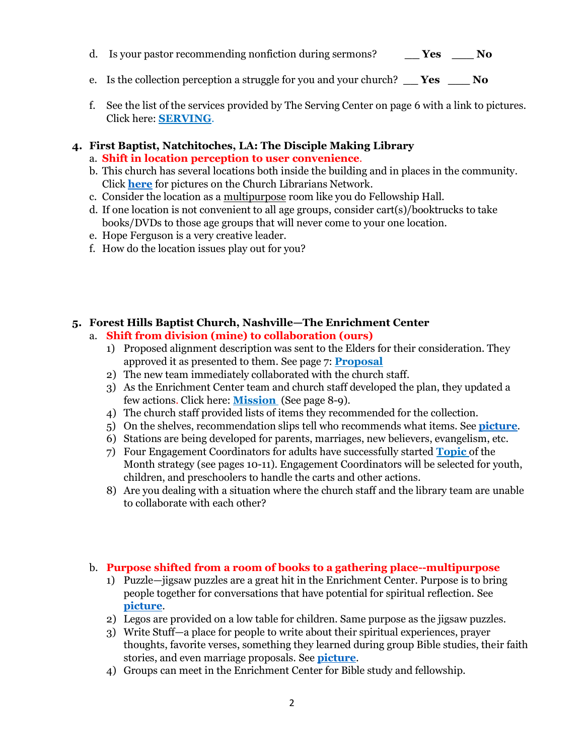- d. Is your pastor recommending nonfiction during sermons? **\_\_ Yes \_\_\_ No**
- e. Is the collection perception a struggle for you and your church? **\_\_ Yes \_\_\_ No**
- f. See the list of the services provided by The Serving Center on page 6 with a link to pictures. Click here: **[SERVING](#page-5-0)**.

#### **4. First Baptist, Natchitoches, LA: The Disciple Making Library**

- a. **Shift in location perception to user convenience**.
- b. This church has several locations both inside the building and in places in the community. Click **[here](https://churchlibrarians.ning.com/photo?tz=&q=First+Baptist%2C+Natchitoches)** for pictures on the Church Librarians Network.
- c. Consider the location as a multipurpose room like you do Fellowship Hall.
- d. If one location is not convenient to all age groups, consider cart(s)/booktrucks to take books/DVDs to those age groups that will never come to your one location.
- e. Hope Ferguson is a very creative leader.
- f. How do the location issues play out for you?

#### **5. Forest Hills Baptist Church, Nashville—The Enrichment Center**

- <span id="page-1-0"></span>a. **Shift from division (mine) to collaboration (ours)**
	- 1) Proposed alignment description was sent to the Elders for their consideration. They approved it as presented to them. See page 7: **[Proposal](#page-6-0)**
	- 2) The new team immediately collaborated with the church staff.
	- 3) As the Enrichment Center team and church staff developed the plan, they updated a few actions. Click here: **[Mission](#page-7-0)** (See page 8-9).
	- 4) The church staff provided lists of items they recommended for the collection.
	- 5) On the shelves, recommendation slips tell who recommends what items. See **[picture](https://churchlibrarians.ning.com/photo?tz=&q=Morlee+Maynard)**.
	- 6) Stations are being developed for parents, marriages, new believers, evangelism, etc.
	- 7) Four Engagement Coordinators for adults have successfully started **[Topic](#page-9-0)** of the Month strategy (see pages 10-11). Engagement Coordinators will be selected for youth, children, and preschoolers to handle the carts and other actions.
	- 8) Are you dealing with a situation where the church staff and the library team are unable to collaborate with each other?

#### b. **Purpose shifted from a room of books to a gathering place--multipurpose**

- 1) Puzzle—jigsaw puzzles are a great hit in the Enrichment Center. Purpose is to bring people together for conversations that have potential for spiritual reflection. See **[picture](https://churchlibrarians.ning.com/photo/ec-puzzle-view)**.
- 2) Legos are provided on a low table for children. Same purpose as the jigsaw puzzles.
- 3) Write Stuff—a place for people to write about their spiritual experiences, prayer thoughts, favorite verses, something they learned during group Bible studies, their faith stories, and even marriage proposals. See **[picture](https://churchlibrarians.ning.com/photo/faith-journey)**.
- 4) Groups can meet in the Enrichment Center for Bible study and fellowship.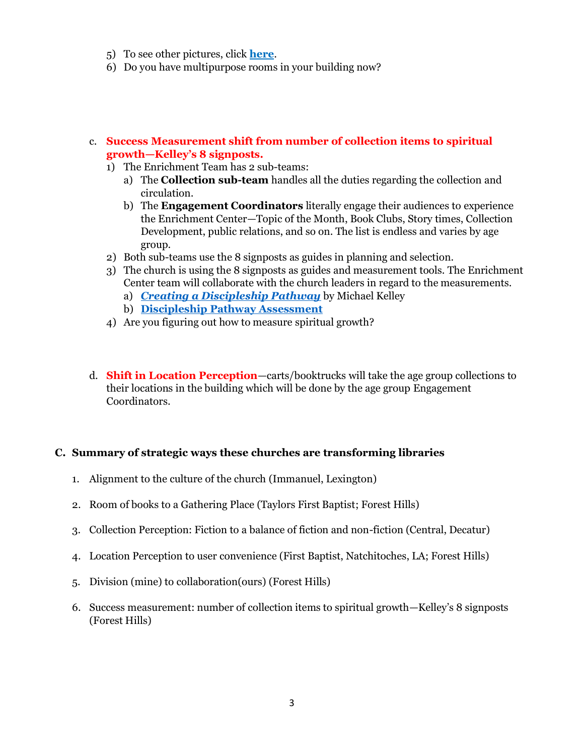- 5) To see other pictures, click **[here](https://churchlibrarians.ning.com/photo?tz=&q=Forest+Hills+Baptist+Church)**.
- 6) Do you have multipurpose rooms in your building now?
- c. **Success Measurement shift from number of collection items to spiritual growth—Kelley's 8 signposts.**
	- 1) The Enrichment Team has 2 sub-teams:
		- a) The **Collection sub-team** handles all the duties regarding the collection and circulation.
		- b) The **Engagement Coordinators** literally engage their audiences to experience the Enrichment Center—Topic of the Month, Book Clubs, Story times, Collection Development, public relations, and so on. The list is endless and varies by age group.
	- 2) Both sub-teams use the 8 signposts as guides in planning and selection.
	- 3) The church is using the 8 signposts as guides and measurement tools. The Enrichment Center team will collaborate with the church leaders in regard to the measurements.
		- a) *[Creating a Discipleship Pathway](https://www.lifeway.com/en/product/creating-a-discipleship-pathway-booklet-P005817821)* by Michael Kelley
		- b) **[Discipleship Pathway Assessment](https://www.lifeway.com/en/product/discipleship-pathway-assessment-P005216492)**
	- 4) Are you figuring out how to measure spiritual growth?
- d. **Shift in Location Perception**—carts/booktrucks will take the age group collections to their locations in the building which will be done by the age group Engagement Coordinators.

#### **C. Summary of strategic ways these churches are transforming libraries**

- 1. Alignment to the culture of the church (Immanuel, Lexington)
- 2. Room of books to a Gathering Place (Taylors First Baptist; Forest Hills)
- 3. Collection Perception: Fiction to a balance of fiction and non-fiction (Central, Decatur)
- 4. Location Perception to user convenience (First Baptist, Natchitoches, LA; Forest Hills)
- 5. Division (mine) to collaboration(ours) (Forest Hills)
- 6. Success measurement: number of collection items to spiritual growth—Kelley's 8 signposts (Forest Hills)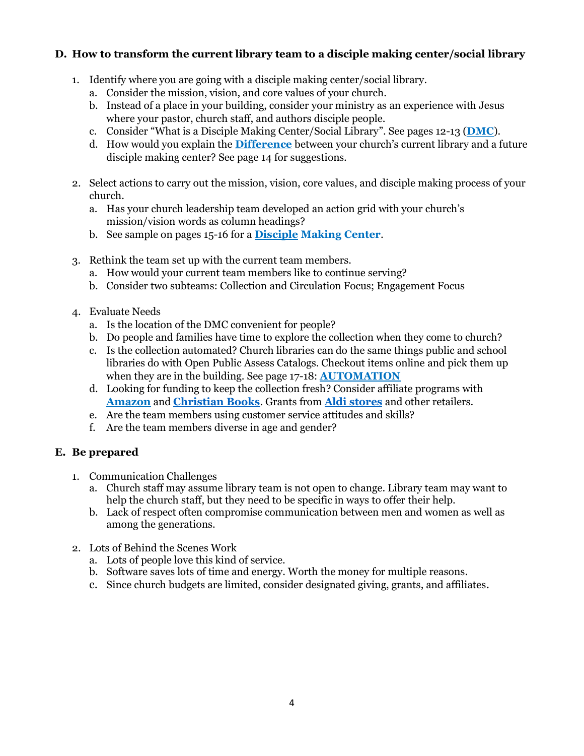#### **D. How to transform the current library team to a disciple making center/social library**

- <span id="page-3-0"></span>1. Identify where you are going with a disciple making center/social library.
	- a. Consider the mission, vision, and core values of your church.
	- b. Instead of a place in your building, consider your ministry as an experience with Jesus where your pastor, church staff, and authors disciple people.
	- c. Consider "[What](#page-13-0) is a Disciple Making Center/Social Library". See pages 12-13 (**[DMC](#page-11-0)**).
	- d. How would you explain the **[Difference](#page-13-1)** between your church's current library and a future disciple making center? See page 14 for suggestions.
- 2. Select actions to carry out the mission, vision, core values, and disciple making process of your church.
	- a. Has your church leadership team developed an action grid with your church's mission/vision words as column headings?
	- b. See sample on pages 15-16 for a **[Disciple](#page-14-0) Making Center**.
- 3. Rethink the team set up with the current team members.
	- a. How would your current team members like to continue serving?
	- b. Consider two subteams: Collection and Circulation Focus; Engagement Focus
- <span id="page-3-1"></span>4. Evaluate Needs
	- a. Is the location of the DMC convenient for people?
	- b. Do people and families have time to explore the collection when they come to church?
	- c. Is the collection automated? Church libraries can do the same things public and school libraries do with Open Public Assess Catalogs. Checkout items online and pick them up when they are in the building. See page 17-18: **[AUTOMATION](#page-16-0)**
	- d. Looking for funding to keep the collection fresh? Consider affiliate programs with **[Amazon](https://affiliate-program.amazon.com/)** and **[Christian Books](https://www.christianbook.com/page/affiliate-program)**. Grants from **Aldi [stores](https://corporate.aldi.us/en/corporate-responsibility/community/local-grants/)** and other retailers.
	- e. Are the team members using customer service attitudes and skills?
	- f. Are the team members diverse in age and gender?

# **E. Be prepared**

- 1. Communication Challenges
	- a. Church staff may assume library team is not open to change. Library team may want to help the church staff, but they need to be specific in ways to offer their help.
	- b. Lack of respect often compromise communication between men and women as well as among the generations.
- 2. Lots of Behind the Scenes Work
	- a. Lots of people love this kind of service.
	- b. Software saves lots of time and energy. Worth the money for multiple reasons.
	- c. Since church budgets are limited, consider designated giving, grants, and affiliates.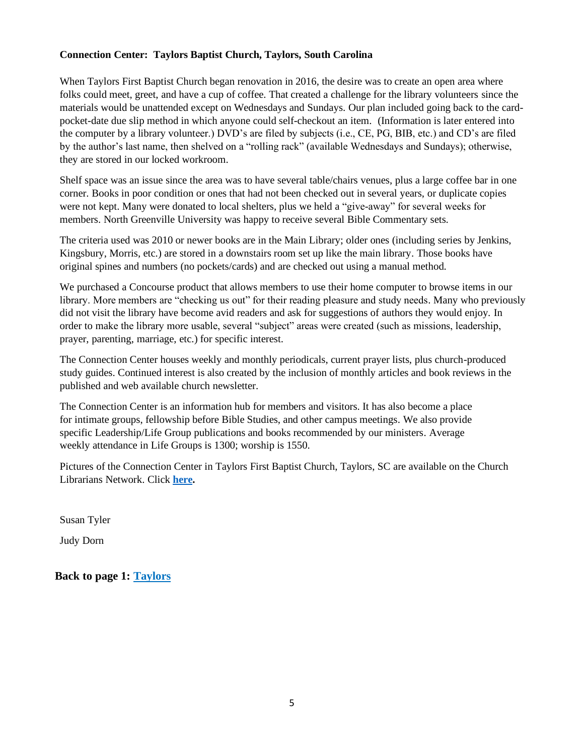#### <span id="page-4-0"></span>**Connection Center: Taylors Baptist Church, Taylors, South Carolina**

When Taylors First Baptist Church began renovation in 2016, the desire was to create an open area where folks could meet, greet, and have a cup of coffee. That created a challenge for the library volunteers since the materials would be unattended except on Wednesdays and Sundays. Our plan included going back to the cardpocket-date due slip method in which anyone could self-checkout an item. (Information is later entered into the computer by a library volunteer.) DVD's are filed by subjects (i.e., CE, PG, BIB, etc.) and CD's are filed by the author's last name, then shelved on a "rolling rack" (available Wednesdays and Sundays); otherwise, they are stored in our locked workroom.

Shelf space was an issue since the area was to have several table/chairs venues, plus a large coffee bar in one corner. Books in poor condition or ones that had not been checked out in several years, or duplicate copies were not kept. Many were donated to local shelters, plus we held a "give-away" for several weeks for members. North Greenville University was happy to receive several Bible Commentary sets.

The criteria used was 2010 or newer books are in the Main Library; older ones (including series by Jenkins, Kingsbury, Morris, etc.) are stored in a downstairs room set up like the main library. Those books have original spines and numbers (no pockets/cards) and are checked out using a manual method.

We purchased a Concourse product that allows members to use their home computer to browse items in our library. More members are "checking us out" for their reading pleasure and study needs. Many who previously did not visit the library have become avid readers and ask for suggestions of authors they would enjoy. In order to make the library more usable, several "subject" areas were created (such as missions, leadership, prayer, parenting, marriage, etc.) for specific interest.

The Connection Center houses weekly and monthly periodicals, current prayer lists, plus church-produced study guides. Continued interest is also created by the inclusion of monthly articles and book reviews in the published and web available church newsletter.

The Connection Center is an information hub for members and visitors. It has also become a place for intimate groups, fellowship before Bible Studies, and other campus meetings. We also provide specific Leadership/Life Group publications and books recommended by our ministers. Average weekly attendance in Life Groups is 1300; worship is 1550.

Pictures of the Connection Center in Taylors First Baptist Church, Taylors, SC are available on the Church Librarians Network. Click **[here.](https://churchlibrarians.ning.com/photo?tz=&q=Taylors+Church)**

Susan Tyler

Judy Dorn

**Back to page 1: [Taylors](#page-0-0)**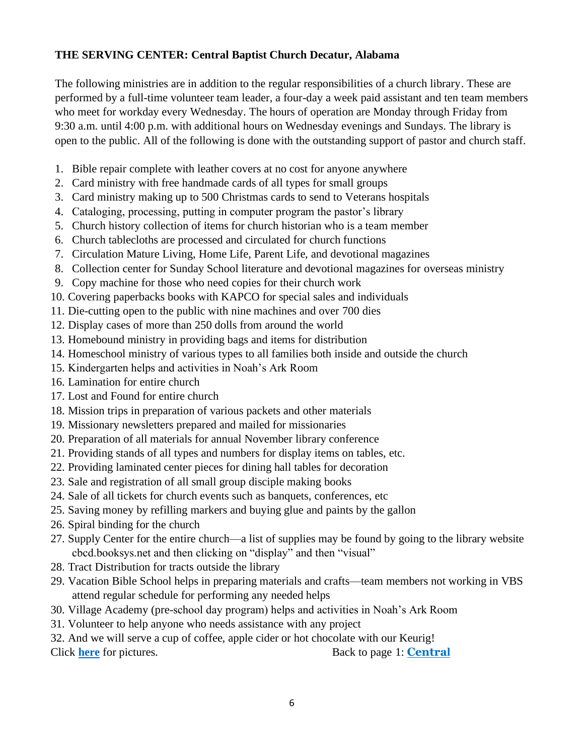## <span id="page-5-0"></span>**THE SERVING CENTER: Central Baptist Church Decatur, Alabama**

The following ministries are in addition to the regular responsibilities of a church library. These are performed by a full-time volunteer team leader, a four-day a week paid assistant and ten team members who meet for workday every Wednesday. The hours of operation are Monday through Friday from 9:30 a.m. until 4:00 p.m. with additional hours on Wednesday evenings and Sundays. The library is open to the public. All of the following is done with the outstanding support of pastor and church staff.

- 1. Bible repair complete with leather covers at no cost for anyone anywhere
- 2. Card ministry with free handmade cards of all types for small groups
- 3. Card ministry making up to 500 Christmas cards to send to Veterans hospitals
- 4. Cataloging, processing, putting in computer program the pastor's library
- 5. Church history collection of items for church historian who is a team member
- 6. Church tablecloths are processed and circulated for church functions
- 7. Circulation Mature Living, Home Life, Parent Life, and devotional magazines
- 8. Collection center for Sunday School literature and devotional magazines for overseas ministry
- 9. Copy machine for those who need copies for their church work
- 10. Covering paperbacks books with KAPCO for special sales and individuals
- 11. Die-cutting open to the public with nine machines and over 700 dies
- 12. Display cases of more than 250 dolls from around the world
- 13. Homebound ministry in providing bags and items for distribution
- 14. Homeschool ministry of various types to all families both inside and outside the church
- 15. Kindergarten helps and activities in Noah's Ark Room
- 16. Lamination for entire church
- 17. Lost and Found for entire church
- 18. Mission trips in preparation of various packets and other materials
- 19. Missionary newsletters prepared and mailed for missionaries
- 20. Preparation of all materials for annual November library conference
- 21. Providing stands of all types and numbers for display items on tables, etc.
- 22. Providing laminated center pieces for dining hall tables for decoration
- 23. Sale and registration of all small group disciple making books
- 24. Sale of all tickets for church events such as banquets, conferences, etc
- 25. Saving money by refilling markers and buying glue and paints by the gallon
- 26. Spiral binding for the church
- 27. Supply Center for the entire church—a list of supplies may be found by going to the library website cbcd.booksys.net and then clicking on "display" and then "visual"
- 28. Tract Distribution for tracts outside the library
- 29. Vacation Bible School helps in preparing materials and crafts—team members not working in VBS attend regular schedule for performing any needed helps
- 30. Village Academy (pre-school day program) helps and activities in Noah's Ark Room
- 31. Volunteer to help anyone who needs assistance with any project
- 32. And we will serve a cup of coffee, apple cider or hot chocolate with our Keurig!
- Click **[here](https://churchlibrarians.ning.com/photo?tz=&q=Central+Baptist+Church)** for pictures. Back to page 1: **[Centra](#page-0-1)l** 
	-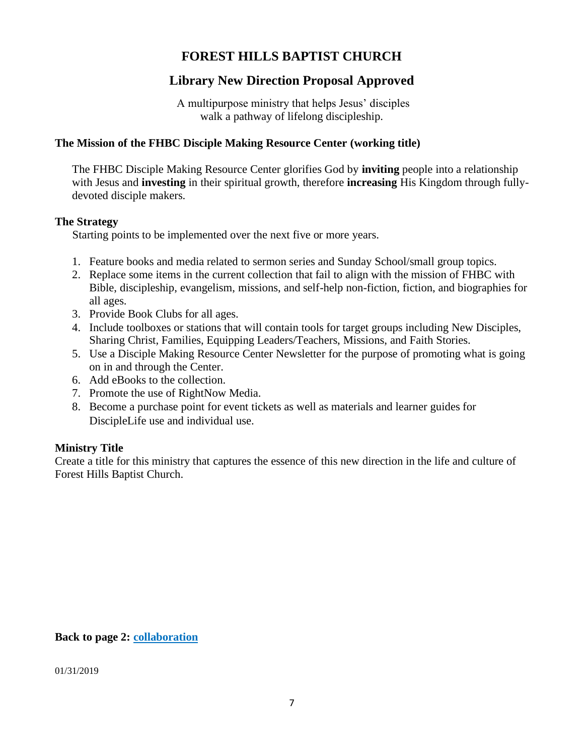# <span id="page-6-0"></span>**FOREST HILLS BAPTIST CHURCH**

# **Library New Direction Proposal Approved**

A multipurpose ministry that helps Jesus' disciples walk a pathway of lifelong discipleship.

#### **The Mission of the FHBC Disciple Making Resource Center (working title)**

The FHBC Disciple Making Resource Center glorifies God by **inviting** people into a relationship with Jesus and **investing** in their spiritual growth, therefore **increasing** His Kingdom through fullydevoted disciple makers.

#### **The Strategy**

Starting points to be implemented over the next five or more years.

- 1. Feature books and media related to sermon series and Sunday School/small group topics.
- 2. Replace some items in the current collection that fail to align with the mission of FHBC with Bible, discipleship, evangelism, missions, and self-help non-fiction, fiction, and biographies for all ages.
- 3. Provide Book Clubs for all ages.
- 4. Include toolboxes or stations that will contain tools for target groups including New Disciples, Sharing Christ, Families, Equipping Leaders/Teachers, Missions, and Faith Stories.
- 5. Use a Disciple Making Resource Center Newsletter for the purpose of promoting what is going on in and through the Center.
- 6. Add eBooks to the collection.
- 7. Promote the use of RightNow Media.
- 8. Become a purchase point for event tickets as well as materials and learner guides for DiscipleLife use and individual use.

#### **Ministry Title**

Create a title for this ministry that captures the essence of this new direction in the life and culture of Forest Hills Baptist Church.

**Back to page 2: [collaboration](#page-1-0)**

01/31/2019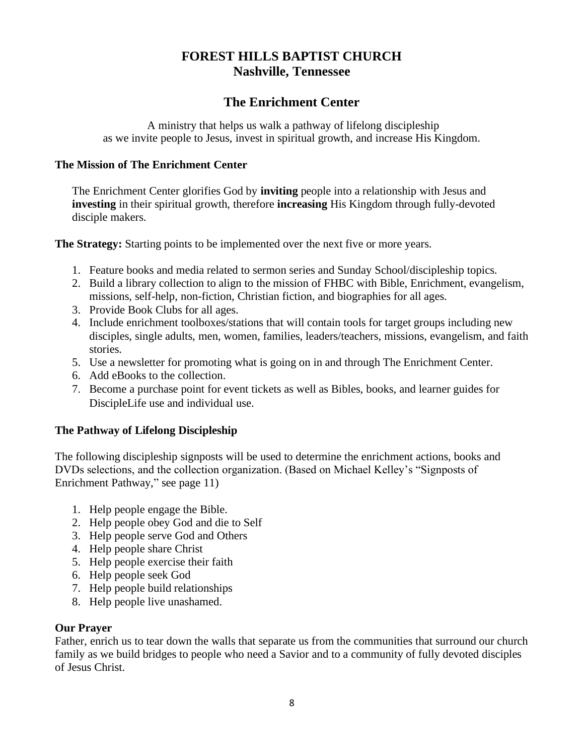# **FOREST HILLS BAPTIST CHURCH Nashville, Tennessee**

# **The Enrichment Center**

A ministry that helps us walk a pathway of lifelong discipleship as we invite people to Jesus, invest in spiritual growth, and increase His Kingdom.

#### <span id="page-7-0"></span>**The Mission of The Enrichment Center**

The Enrichment Center glorifies God by **inviting** people into a relationship with Jesus and **investing** in their spiritual growth, therefore **increasing** His Kingdom through fully-devoted disciple makers.

**The Strategy:** Starting points to be implemented over the next five or more years.

- 1. Feature books and media related to sermon series and Sunday School/discipleship topics.
- 2. Build a library collection to align to the mission of FHBC with Bible, Enrichment, evangelism, missions, self-help, non-fiction, Christian fiction, and biographies for all ages.
- 3. Provide Book Clubs for all ages.
- 4. Include enrichment toolboxes/stations that will contain tools for target groups including new disciples, single adults, men, women, families, leaders/teachers, missions, evangelism, and faith stories.
- 5. Use a newsletter for promoting what is going on in and through The Enrichment Center.
- 6. Add eBooks to the collection.
- 7. Become a purchase point for event tickets as well as Bibles, books, and learner guides for DiscipleLife use and individual use.

#### **The Pathway of Lifelong Discipleship**

The following discipleship signposts will be used to determine the enrichment actions, books and DVDs selections, and the collection organization. (Based on Michael Kelley's "Signposts of Enrichment Pathway," see page 11)

- 1. Help people engage the Bible.
- 2. Help people obey God and die to Self
- 3. Help people serve God and Others
- 4. Help people share Christ
- 5. Help people exercise their faith
- 6. Help people seek God
- 7. Help people build relationships
- 8. Help people live unashamed.

#### **Our Prayer**

Father, enrich us to tear down the walls that separate us from the communities that surround our church family as we build bridges to people who need a Savior and to a community of fully devoted disciples of Jesus Christ.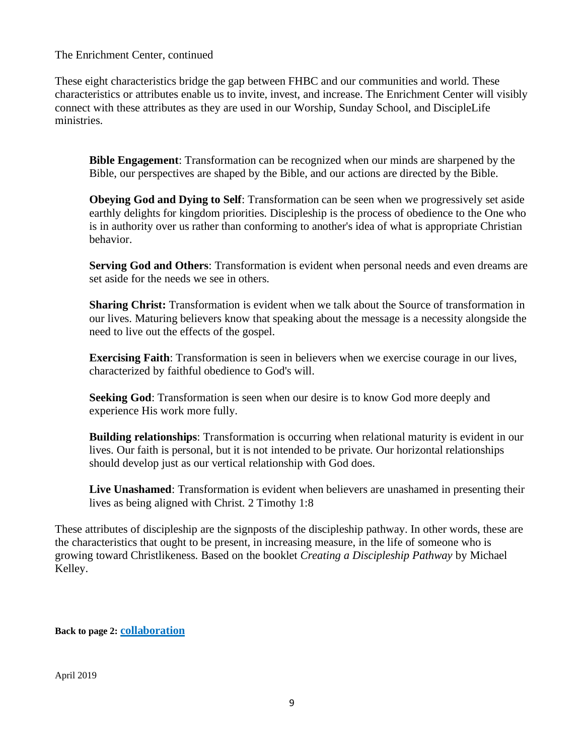The Enrichment Center, continued

These eight characteristics bridge the gap between FHBC and our communities and world. These characteristics or attributes enable us to invite, invest, and increase. The Enrichment Center will visibly connect with these attributes as they are used in our Worship, Sunday School, and DiscipleLife ministries.

**Bible Engagement**: Transformation can be recognized when our minds are sharpened by the Bible, our perspectives are shaped by the Bible, and our actions are directed by the Bible.

**Obeying God and Dying to Self**: Transformation can be seen when we progressively set aside earthly delights for kingdom priorities. Discipleship is the process of obedience to the One who is in authority over us rather than conforming to another's idea of what is appropriate Christian behavior.

**Serving God and Others**: Transformation is evident when personal needs and even dreams are set aside for the needs we see in others.

**Sharing Christ:** Transformation is evident when we talk about the Source of transformation in our lives. Maturing believers know that speaking about the message is a necessity alongside the need to live out the effects of the gospel.

**Exercising Faith:** Transformation is seen in believers when we exercise courage in our lives, characterized by faithful obedience to God's will.

**Seeking God**: Transformation is seen when our desire is to know God more deeply and experience His work more fully.

**Building relationships**: Transformation is occurring when relational maturity is evident in our lives. Our faith is personal, but it is not intended to be private. Our horizontal relationships should develop just as our vertical relationship with God does.

**Live Unashamed**: Transformation is evident when believers are unashamed in presenting their lives as being aligned with Christ. 2 Timothy 1:8

These attributes of discipleship are the signposts of the discipleship pathway. In other words, these are the characteristics that ought to be present, in increasing measure, in the life of someone who is growing toward Christlikeness. Based on the booklet *Creating a Discipleship Pathway* by Michael Kelley.

**Back to page 2: [collaboration](#page-1-0)**

April 2019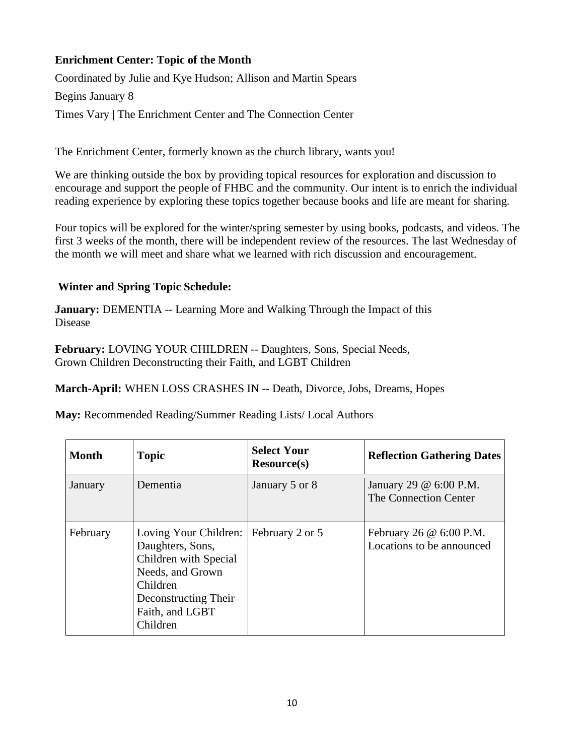# <span id="page-9-0"></span>**Enrichment Center: Topic of the Month**

Coordinated by Julie and Kye Hudson; Allison and Martin Spears

Begins January 8

Times Vary | The Enrichment Center and The Connection Center

The Enrichment Center, formerly known as the church library, wants you!

We are thinking outside the box by providing topical resources for exploration and discussion to encourage and support the people of FHBC and the community. Our intent is to enrich the individual reading experience by exploring these topics together because books and life are meant for sharing.

Four topics will be explored for the winter/spring semester by using books, podcasts, and videos. The first 3 weeks of the month, there will be independent review of the resources. The last Wednesday of the month we will meet and share what we learned with rich discussion and encouragement.

## **Winter and Spring Topic Schedule:**

**January:** DEMENTIA -- Learning More and Walking Through the Impact of this Disease

**February:** LOVING YOUR CHILDREN -- Daughters, Sons, Special Needs, Grown Children Deconstructing their Faith, and LGBT Children

**March-April:** WHEN LOSS CRASHES IN -- Death, Divorce, Jobs, Dreams, Hopes

**May:** Recommended Reading/Summer Reading Lists/ Local Authors

| <b>Month</b> | <b>Topic</b>                                                                                                                                              | <b>Select Your</b><br>Resource(s) | <b>Reflection Gathering Dates</b>                           |
|--------------|-----------------------------------------------------------------------------------------------------------------------------------------------------------|-----------------------------------|-------------------------------------------------------------|
| January      | Dementia                                                                                                                                                  | January 5 or 8                    | January 29 @ 6:00 P.M.<br>The Connection Center             |
| February     | Loving Your Children:<br>Daughters, Sons,<br>Children with Special<br>Needs, and Grown<br>Children<br>Deconstructing Their<br>Faith, and LGBT<br>Children | February 2 or 5                   | February 26 $\omega$ 6:00 P.M.<br>Locations to be announced |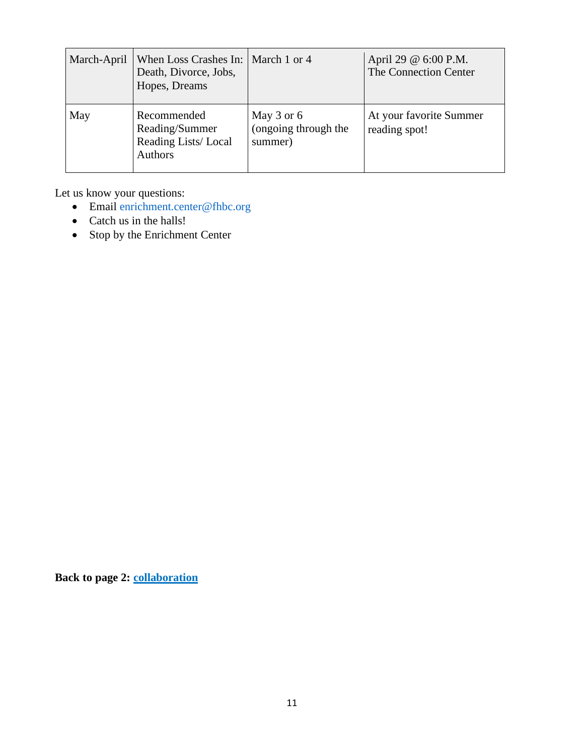| March-April | When Loss Crashes In:   March 1 or 4<br>Death, Divorce, Jobs,<br>Hopes, Dreams |                                               | April 29 @ 6:00 P.M.<br>The Connection Center |
|-------------|--------------------------------------------------------------------------------|-----------------------------------------------|-----------------------------------------------|
| May         | Recommended<br>Reading/Summer<br>Reading Lists/Local<br><b>Authors</b>         | May 3 or 6<br>(ongoing through the<br>summer) | At your favorite Summer<br>reading spot!      |

Let us know your questions:

- Email [enrichment.center@fhbc.org](mailto:enrichment.center@fhbc.org)
- Catch us in the halls!
- Stop by the Enrichment Center

**Back to page 2: [collaboration](#page-1-0)**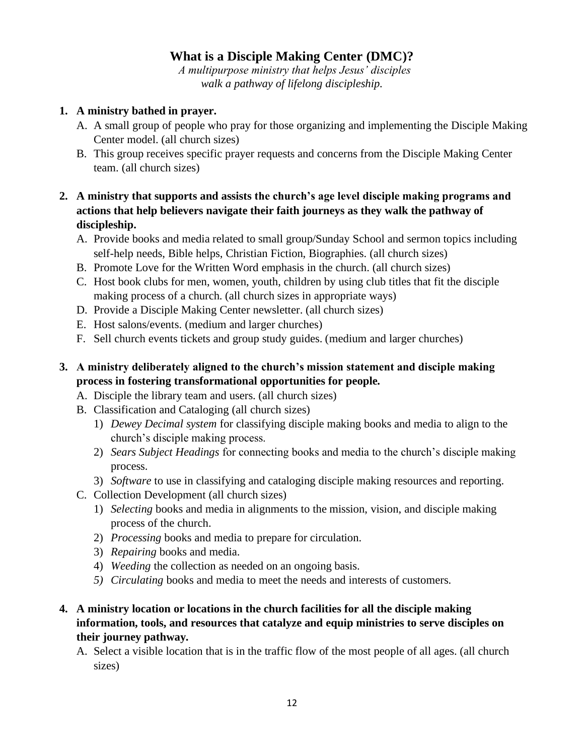# **What is a Disciple Making Center (DMC)?**

<span id="page-11-0"></span> *A multipurpose ministry that helps Jesus' disciples walk a pathway of lifelong discipleship.*

#### **1. A ministry bathed in prayer.**

- A. A small group of people who pray for those organizing and implementing the Disciple Making Center model. (all church sizes)
- B. This group receives specific prayer requests and concerns from the Disciple Making Center team. (all church sizes)

# **2. A ministry that supports and assists the church's age level disciple making programs and actions that help believers navigate their faith journeys as they walk the pathway of discipleship.**

- A. Provide books and media related to small group/Sunday School and sermon topics including self-help needs, Bible helps, Christian Fiction, Biographies. (all church sizes)
- B. Promote Love for the Written Word emphasis in the church. (all church sizes)
- C. Host book clubs for men, women, youth, children by using club titles that fit the disciple making process of a church. (all church sizes in appropriate ways)
- D. Provide a Disciple Making Center newsletter. (all church sizes)
- E. Host salons/events. (medium and larger churches)
- F. Sell church events tickets and group study guides. (medium and larger churches)

# **3. A ministry deliberately aligned to the church's mission statement and disciple making process in fostering transformational opportunities for people.**

- A. Disciple the library team and users. (all church sizes)
- B. Classification and Cataloging (all church sizes)
	- 1) *Dewey Decimal system* for classifying disciple making books and media to align to the church's disciple making process.
	- 2) *Sears Subject Headings* for connecting books and media to the church's disciple making process.
	- 3) *Software* to use in classifying and cataloging disciple making resources and reporting.
- C. Collection Development (all church sizes)
	- 1) *Selecting* books and media in alignments to the mission, vision, and disciple making process of the church.
	- 2) *Processing* books and media to prepare for circulation.
	- 3) *Repairing* books and media.
	- 4) *Weeding* the collection as needed on an ongoing basis.
	- *5) Circulating* books and media to meet the needs and interests of customers.

# **4. A ministry location or locations in the church facilities for all the disciple making information, tools, and resources that catalyze and equip ministries to serve disciples on their journey pathway.**

A. Select a visible location that is in the traffic flow of the most people of all ages. (all church sizes)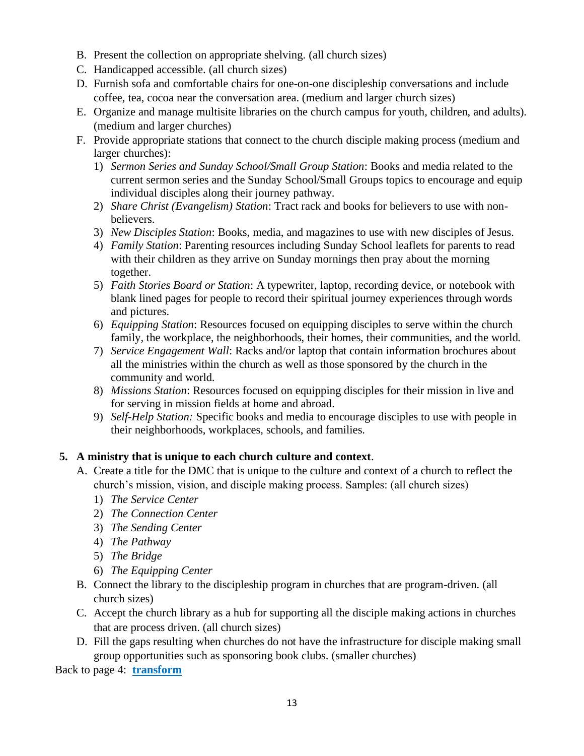- B. Present the collection on appropriate shelving. (all church sizes)
- C. Handicapped accessible. (all church sizes)
- D. Furnish sofa and comfortable chairs for one-on-one discipleship conversations and include coffee, tea, cocoa near the conversation area. (medium and larger church sizes)
- E. Organize and manage multisite libraries on the church campus for youth, children, and adults). (medium and larger churches)
- F. Provide appropriate stations that connect to the church disciple making process (medium and larger churches):
	- 1) *Sermon Series and Sunday School/Small Group Station*: Books and media related to the current sermon series and the Sunday School/Small Groups topics to encourage and equip individual disciples along their journey pathway.
	- 2) *Share Christ (Evangelism) Station*: Tract rack and books for believers to use with nonbelievers.
	- 3) *New Disciples Station*: Books, media, and magazines to use with new disciples of Jesus.
	- 4) *Family Station*: Parenting resources including Sunday School leaflets for parents to read with their children as they arrive on Sunday mornings then pray about the morning together.
	- 5) *Faith Stories Board or Station*: A typewriter, laptop, recording device, or notebook with blank lined pages for people to record their spiritual journey experiences through words and pictures.
	- 6) *Equipping Station*: Resources focused on equipping disciples to serve within the church family, the workplace, the neighborhoods, their homes, their communities, and the world.
	- 7) *Service Engagement Wall*: Racks and/or laptop that contain information brochures about all the ministries within the church as well as those sponsored by the church in the community and world.
	- 8) *Missions Station*: Resources focused on equipping disciples for their mission in live and for serving in mission fields at home and abroad.
	- 9) *Self*-*Help Station:* Specific books and media to encourage disciples to use with people in their neighborhoods, workplaces, schools, and families.

# **5. A ministry that is unique to each church culture and context**.

- A. Create a title for the DMC that is unique to the culture and context of a church to reflect the church's mission, vision, and disciple making process. Samples: (all church sizes)
	- 1) *The Service Center*
	- 2) *The Connection Center*
	- 3) *The Sending Center*
	- 4) *The Pathway*
	- 5) *The Bridge*
	- 6) *The Equipping Center*
- B. Connect the library to the discipleship program in churches that are program-driven. (all church sizes)
- C. Accept the church library as a hub for supporting all the disciple making actions in churches that are process driven. (all church sizes)
- D. Fill the gaps resulting when churches do not have the infrastructure for disciple making small group opportunities such as sponsoring book clubs. (smaller churches)

Back to page 4: **[transform](#page-3-0)**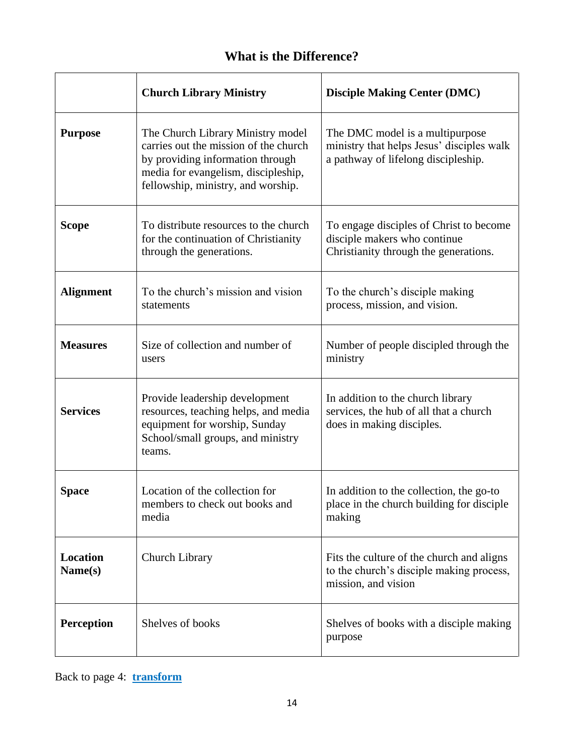# <span id="page-13-1"></span>**What is the Difference?**

|                            | <b>Church Library Ministry</b>                                                                                                                                                              | <b>Disciple Making Center (DMC)</b>                                                                                 |  |
|----------------------------|---------------------------------------------------------------------------------------------------------------------------------------------------------------------------------------------|---------------------------------------------------------------------------------------------------------------------|--|
| <b>Purpose</b>             | The Church Library Ministry model<br>carries out the mission of the church<br>by providing information through<br>media for evangelism, discipleship,<br>fellowship, ministry, and worship. | The DMC model is a multipurpose<br>ministry that helps Jesus' disciples walk<br>a pathway of lifelong discipleship. |  |
| <b>Scope</b>               | To distribute resources to the church<br>for the continuation of Christianity<br>through the generations.                                                                                   | To engage disciples of Christ to become<br>disciple makers who continue<br>Christianity through the generations.    |  |
| <b>Alignment</b>           | To the church's mission and vision<br>statements                                                                                                                                            | To the church's disciple making<br>process, mission, and vision.                                                    |  |
| <b>Measures</b>            | Size of collection and number of<br>users                                                                                                                                                   | Number of people discipled through the<br>ministry                                                                  |  |
| <b>Services</b>            | Provide leadership development<br>resources, teaching helps, and media<br>equipment for worship, Sunday<br>School/small groups, and ministry<br>teams.                                      | In addition to the church library<br>services, the hub of all that a church<br>does in making disciples.            |  |
| <b>Space</b>               | Location of the collection for<br>members to check out books and<br>media                                                                                                                   | In addition to the collection, the go-to<br>place in the church building for disciple<br>making                     |  |
| <b>Location</b><br>Name(s) | Church Library                                                                                                                                                                              | Fits the culture of the church and aligns<br>to the church's disciple making process,<br>mission, and vision        |  |
| <b>Perception</b>          | Shelves of books                                                                                                                                                                            | Shelves of books with a disciple making<br>purpose                                                                  |  |

Back to page 4: **[transform](#page-3-0)**

<span id="page-13-0"></span>'n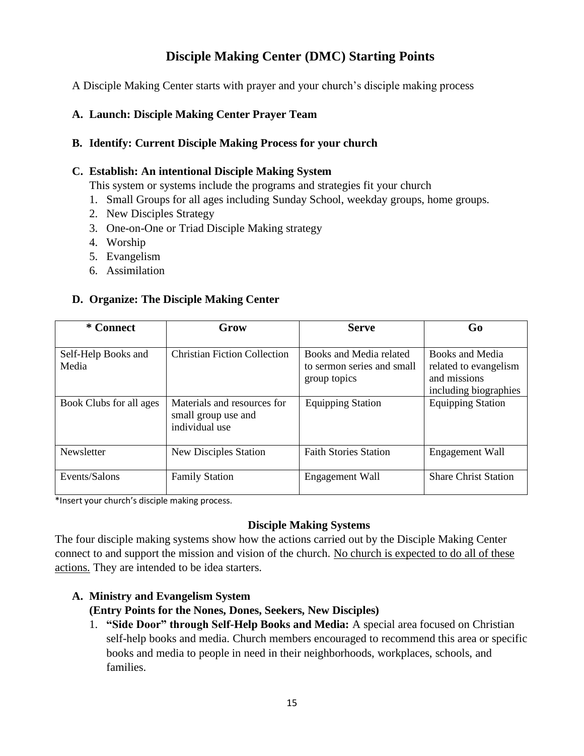# **Disciple Making Center (DMC) Starting Points**

<span id="page-14-0"></span>A Disciple Making Center starts with prayer and your church's disciple making process

#### **A. Launch: Disciple Making Center Prayer Team**

#### **B. Identify: Current Disciple Making Process for your church**

#### **C. Establish: An intentional Disciple Making System**

This system or systems include the programs and strategies fit your church

- 1. Small Groups for all ages including Sunday School, weekday groups, home groups.
- 2. New Disciples Strategy
- 3. One-on-One or Triad Disciple Making strategy
- 4. Worship
- 5. Evangelism
- 6. Assimilation

#### **D. Organize: The Disciple Making Center**

| * Connect                    | Grow                                                                 | <b>Serve</b>                                                          | Go                                                                                |
|------------------------------|----------------------------------------------------------------------|-----------------------------------------------------------------------|-----------------------------------------------------------------------------------|
| Self-Help Books and<br>Media | <b>Christian Fiction Collection</b>                                  | Books and Media related<br>to sermon series and small<br>group topics | Books and Media<br>related to evangelism<br>and missions<br>including biographies |
| Book Clubs for all ages      | Materials and resources for<br>small group use and<br>individual use | <b>Equipping Station</b>                                              | <b>Equipping Station</b>                                                          |
| Newsletter                   | <b>New Disciples Station</b>                                         | <b>Faith Stories Station</b>                                          | Engagement Wall                                                                   |
| Events/Salons                | <b>Family Station</b>                                                | Engagement Wall                                                       | <b>Share Christ Station</b>                                                       |

\*Insert your church's disciple making process.

#### **Disciple Making Systems**

The four disciple making systems show how the actions carried out by the Disciple Making Center connect to and support the mission and vision of the church. No church is expected to do all of these actions. They are intended to be idea starters.

# **A. Ministry and Evangelism System (Entry Points for the Nones, Dones, Seekers, New Disciples)**

1. **"Side Door" through Self-Help Books and Media:** A special area focused on Christian self-help books and media. Church members encouraged to recommend this area or specific books and media to people in need in their neighborhoods, workplaces, schools, and families.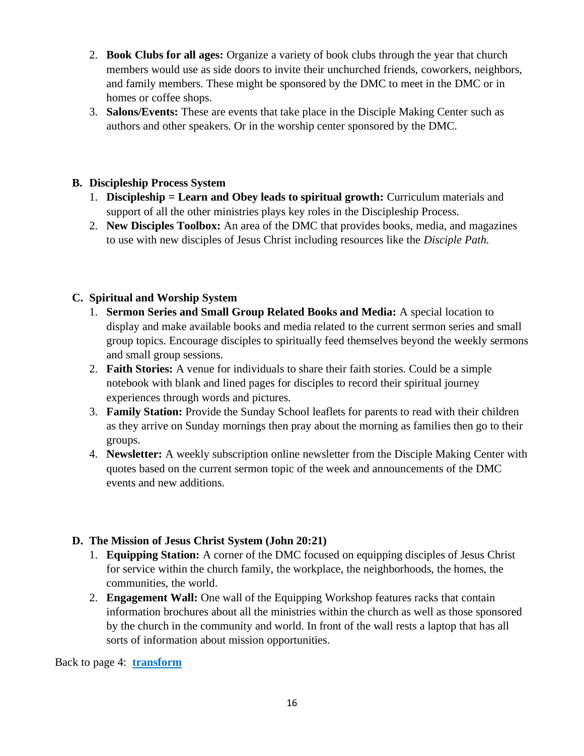- 2. **Book Clubs for all ages:** Organize a variety of book clubs through the year that church members would use as side doors to invite their unchurched friends, coworkers, neighbors, and family members. These might be sponsored by the DMC to meet in the DMC or in homes or coffee shops.
- 3. **Salons/Events:** These are events that take place in the Disciple Making Center such as authors and other speakers. Or in the worship center sponsored by the DMC.

## **B. Discipleship Process System**

- 1. **Discipleship = Learn and Obey leads to spiritual growth:** Curriculum materials and support of all the other ministries plays key roles in the Discipleship Process.
- 2. **New Disciples Toolbox:** An area of the DMC that provides books, media, and magazines to use with new disciples of Jesus Christ including resources like the *Disciple Path*.

# **C. Spiritual and Worship System**

- 1. **Sermon Series and Small Group Related Books and Media:** A special location to display and make available books and media related to the current sermon series and small group topics. Encourage disciples to spiritually feed themselves beyond the weekly sermons and small group sessions.
- 2. **Faith Stories:** A venue for individuals to share their faith stories. Could be a simple notebook with blank and lined pages for disciples to record their spiritual journey experiences through words and pictures.
- 3. **Family Station:** Provide the Sunday School leaflets for parents to read with their children as they arrive on Sunday mornings then pray about the morning as families then go to their groups.
- 4. **Newsletter:** A weekly subscription online newsletter from the Disciple Making Center with quotes based on the current sermon topic of the week and announcements of the DMC events and new additions.

# **D. The Mission of Jesus Christ System (John 20:21)**

- 1. **Equipping Station:** A corner of the DMC focused on equipping disciples of Jesus Christ for service within the church family, the workplace, the neighborhoods, the homes, the communities, the world.
- 2. **Engagement Wall:** One wall of the Equipping Workshop features racks that contain information brochures about all the ministries within the church as well as those sponsored by the church in the community and world. In front of the wall rests a laptop that has all sorts of information about mission opportunities.

Back to page 4: **[transform](#page-3-0)**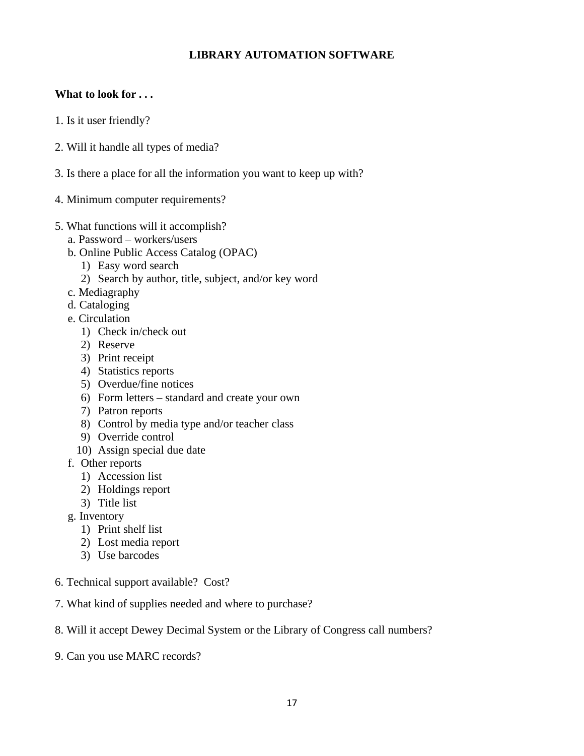## <span id="page-16-0"></span>**LIBRARY AUTOMATION SOFTWARE**

## **What to look for . . .**

- 1. Is it user friendly?
- 2. Will it handle all types of media?
- 3. Is there a place for all the information you want to keep up with?
- 4. Minimum computer requirements?
- 5. What functions will it accomplish?
	- a. Password workers/users
	- b. Online Public Access Catalog (OPAC)
		- 1) Easy word search
		- 2) Search by author, title, subject, and/or key word
	- c. Mediagraphy
	- d. Cataloging
	- e. Circulation
		- 1) Check in/check out
		- 2) Reserve
		- 3) Print receipt
		- 4) Statistics reports
		- 5) Overdue/fine notices
		- 6) Form letters standard and create your own
		- 7) Patron reports
		- 8) Control by media type and/or teacher class
		- 9) Override control
		- 10) Assign special due date
	- f. Other reports
		- 1) Accession list
		- 2) Holdings report
		- 3) Title list
	- g. Inventory
		- 1) Print shelf list
		- 2) Lost media report
		- 3) Use barcodes
- 6. Technical support available? Cost?
- 7. What kind of supplies needed and where to purchase?
- 8. Will it accept Dewey Decimal System or the Library of Congress call numbers?
- 9. Can you use MARC records?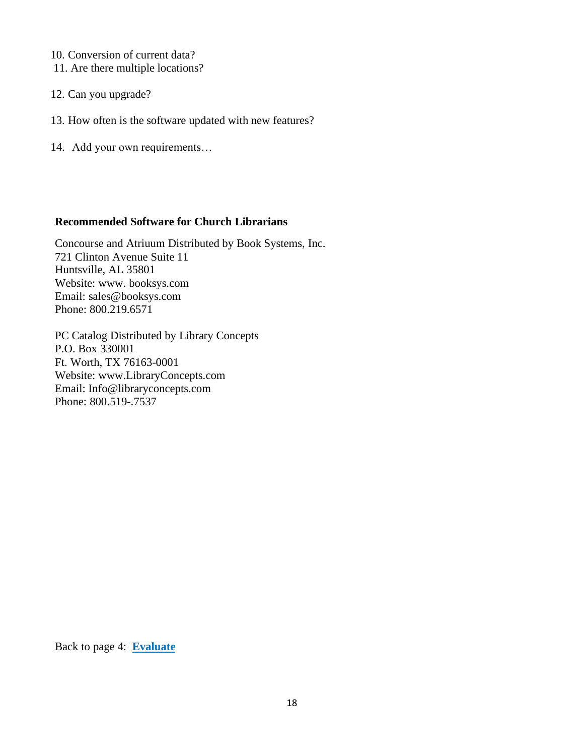- 10. Conversion of current data?
- 11. Are there multiple locations?
- 12. Can you upgrade?
- 13. How often is the software updated with new features?
- 14. Add your own requirements…

#### **Recommended Software for Church Librarians**

Concourse and Atriuum Distributed by Book Systems, Inc. 721 Clinton Avenue Suite 11 Huntsville, AL 35801 Website: www. booksys.com Email: [sales@booksys.com](mailto:sales@booksys.com) Phone: 800.219.6571

PC Catalog Distributed by Library Concepts P.O. Box 330001 Ft. Worth, TX 76163-0001 Website: www.LibraryConcepts.com Email: [Info@libraryconcepts.com](mailto:Info@libraryconcepts.com) Phone: 800.519-.7537

Back to page 4: **[Evaluate](#page-3-1)**